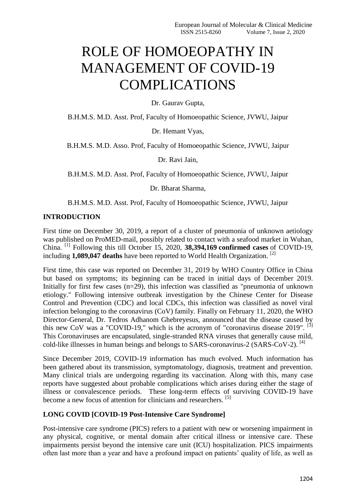# ROLE OF HOMOEOPATHY IN MANAGEMENT OF COVID-19 COMPLICATIONS

Dr. Gaurav Gupta,

B.H.M.S. M.D. Asst. Prof, Faculty of Homoeopathic Science, JVWU, Jaipur

Dr. Hemant Vyas,

B.H.M.S. M.D. Asso. Prof, Faculty of Homoeopathic Science, JVWU, Jaipur

Dr. Ravi Jain,

B.H.M.S. M.D. Asst. Prof, Faculty of Homoeopathic Science, JVWU, Jaipur

Dr. Bharat Sharma,

B.H.M.S. M.D. Asst. Prof, Faculty of Homoeopathic Science, JVWU, Jaipur

# **INTRODUCTION**

First time on December 30, 2019, a report of a cluster of pneumonia of unknown aetiology was published on ProMED-mail, possibly related to contact with a seafood market in Wuhan, China. [1] Following this till October 15, 2020, **38,394,169 confirmed cases** of COVID-19, including **1,089,047 deaths** have been reported to World Health Organization. [2]

First time, this case was reported on December 31, 2019 by WHO Country Office in China but based on symptoms; its beginning can be traced in initial days of December 2019. Initially for first few cases (n=29), this infection was classified as "pneumonia of unknown etiology." Following intensive outbreak investigation by the Chinese Center for Disease Control and Prevention (CDC) and local CDCs, this infection was classified as novel viral infection belonging to the coronavirus (CoV) family. Finally on February 11, 2020, the WHO Director-General, Dr. Tedros Adhanom Ghebreyesus, announced that the disease caused by this new CoV was a "COVID-19," which is the acronym of "coronavirus disease 2019".  $^{[3]}$ This Coronaviruses are encapsulated, single-stranded RNA viruses that generally cause mild, cold-like illnesses in human beings and belongs to SARS-coronavirus-2 (SARS-CoV-2). [4]

Since December 2019, COVID-19 information has much evolved. Much information has been gathered about its transmission, symptomatology, diagnosis, treatment and prevention. Many clinical trials are undergoing regarding its vaccination. Along with this, many case reports have suggested about probable complications which arises during either the stage of illness or convalescence periods. These long-term effects of surviving COVID-19 have become a new focus of attention for clinicians and researchers. [5]

# **LONG COVID [COVID-19 Post-Intensive Care Syndrome]**

Post-intensive care syndrome (PICS) refers to a patient with new or worsening impairment in any physical, cognitive, or mental domain after critical illness or intensive care. These impairments persist beyond the intensive care unit (ICU) hospitalization. PICS impairments often last more than a year and have a profound impact on patients' quality of life, as well as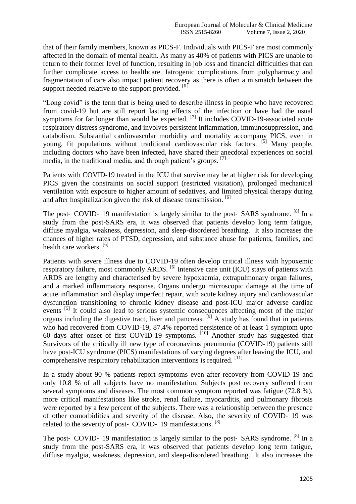that of their family members, known as PICS-F. Individuals with PICS-F are most commonly affected in the domain of mental health. As many as 40% of patients with PICS are unable to return to their former level of function, resulting in job loss and financial difficulties that can further complicate access to healthcare. Iatrogenic complications from polypharmacy and fragmentation of care also impact patient recovery as there is often a mismatch between the support needed relative to the support provided. [6]

"Long covid" is the term that is being used to describe illness in people who have recovered from covid-19 but are still report lasting effects of the infection or have had the usual symptoms for far longer than would be expected.  $^{[7]}$  It includes COVID-19-associated acute respiratory distress syndrome, and involves persistent inflammation, immunosuppression, and catabolism. Substantial cardiovascular morbidity and mortality accompany PICS, even in young, fit populations without traditional cardiovascular risk factors.  $[5]$  Many people, including doctors who have been infected, have shared their anecdotal experiences on social media, in the traditional media, and through patient's groups. [7]

Patients with COVID-19 treated in the ICU that survive may be at higher risk for developing PICS given the constraints on social support (restricted visitation), prolonged mechanical ventilation with exposure to higher amount of sedatives, and limited physical therapy during and after hospitalization given the risk of disease transmission. <sup>[6]</sup>

The post- COVID- 19 manifestation is largely similar to the post- SARS syndrome. <sup>[8]</sup> In a study from the post-SARS era, it was observed that patients develop long term fatigue, diffuse myalgia, weakness, depression, and sleep-disordered breathing. It also increases the chances of higher rates of PTSD, depression, and substance abuse for patients, families, and health care workers. [6]

Patients with severe illness due to COVID-19 often develop critical illness with hypoxemic respiratory failure, most commonly ARDS. <sup>[6]</sup> Intensive care unit (ICU) stays of patients with ARDS are lengthy and characterised by severe hypoxaemia, extrapulmonary organ failures, and a marked inflammatory response. Organs undergo microscopic damage at the time of acute inflammation and display imperfect repair, with acute kidney injury and cardiovascular dysfunction transitioning to chronic kidney disease and post-ICU major adverse cardiac events <sup>[5]</sup> It could also lead to serious systemic consequences affecting most of the major organs including the digestive tract, liver and pancreas.  $^{[9]}$  A study has found that in patients who had recovered from COVID-19, 87.4% reported persistence of at least 1 symptom upto 60 days after onset of first COVID-19 symptoms. [10] Another study has suggested that Survivors of the critically ill new type of coronavirus pneumonia (COVID-19) patients still have post-ICU syndrome (PICS) manifestations of varying degrees after leaving the ICU, and comprehensive respiratory rehabilitation interventions is required. <sup>[11]</sup>

In a study about 90 % patients report symptoms even after recovery from COVID-19 and only 10.8 % of all subjects have no manifestation. Subjects post recovery suffered from several symptoms and diseases. The most common symptom reported was fatigue (72.8 %), more critical manifestations like stroke, renal failure, myocarditis, and pulmonary fibrosis were reported by a few percent of the subjects. There was a relationship between the presence of other comorbidities and severity of the disease. Also, the severity of COVID‐ 19 was related to the severity of post- COVID- 19 manifestations. <sup>[8]</sup>

The post- COVID- 19 manifestation is largely similar to the post- SARS syndrome. <sup>[8]</sup> In a study from the post-SARS era, it was observed that patients develop long term fatigue, diffuse myalgia, weakness, depression, and sleep-disordered breathing. It also increases the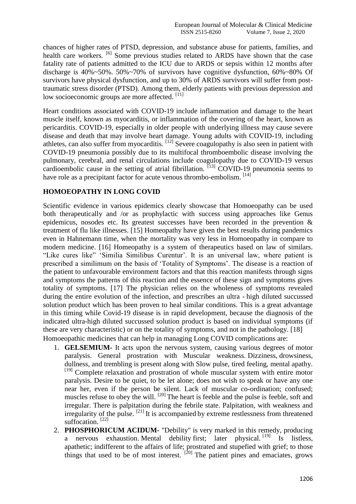chances of higher rates of PTSD, depression, and substance abuse for patients, families, and health care workers. <sup>[6]</sup> Some previous studies related to ARDS have shown that the case fatality rate of patients admitted to the ICU due to ARDS or sepsis within 12 months after discharge is 40%~50%. 50%~70% of survivors have cognitive dysfunction, 60%~80% Of survivors have physical dysfunction, and up to 30% of ARDS survivors will suffer from posttraumatic stress disorder (PTSD). Among them, elderly patients with previous depression and low socioeconomic groups are more affected. [11]

Heart conditions associated with COVID-19 include inflammation and damage to the heart muscle itself, known as myocarditis, or inflammation of the covering of the heart, known as pericarditis. COVID-19, especially in older people with underlying illness may cause severe disease and death that may involve heart damage. Young adults with COVID-19, including athletes, can also suffer from myocarditis. <sup>[12]</sup> Severe coagulopathy is also seen in patient with COVID-19 pneumonia possibly due to its multifocal thromboembolic disease involving the pulmonary, cerebral, and renal circulations include coagulopathy due to COVID-19 versus cardioembolic cause in the setting of atrial fibrillation.  $\begin{bmatrix} 13 \end{bmatrix}$  COVID-19 pneumonia seems to have role as a precipitant factor for acute venous thrombo-embolism. [14]

# **HOMOEOPATHY IN LONG COVID**

Scientific evidence in various epidemics clearly showcase that Homoeopathy can be used both therapeutically and /or as prophylactic with success using approaches like Genus epidemicus, nosodes etc. Its greatest successes have been recorded in the prevention & treatment of flu like illnesses. [15] Homeopathy have given the best results during pandemics even in Hahnemann time, when the mortality was very less in Homoeopathy in compare to modern medicine. [16] Homeopathy is a system of therapeutics based on law of similars. ―Like cures like‖ ‗Similia Similibus Curentur'. It is an universal law, where patient is prescribed a similimum on the basis of ‗Totality of Symptoms'. The disease is a reaction of the patient to unfavourable environment factors and that this reaction manifests through signs and symptoms the patterns of this reaction and the essence of these sign and symptoms gives totality of symptoms. [17] The physician relies on the wholeness of symptoms revealed during the entire evolution of the infection, and prescribes an ultra - high diluted succussed solution product which has been proven to heal similar conditions. This is a great advantage in this timing while Covid-19 disease is in rapid development, because the diagnosis of the indicated ultra-high diluted succussed solution product is based on individual symptoms (if these are very characteristic) or on the totality of symptoms, and not in the pathology. [18] Homoeopathic medicines that can help in managing Long COVID complications are:

- 1. **GELSEMIUM-** It acts upon the nervous system, causing various degrees of motor paralysis. General prostration with Muscular weakness. Dizziness, drowsiness, dullness, and trembling is present along with Slow pulse, tired feeling, mental apathy. [19] Complete relaxation and prostration of whole muscular system with entire motor paralysis. Desire to be quiet, to be let alone; does not wish to speak or have any one near her, even if the person be silent. Lack of muscular co-ordination; confused; muscles refuse to obey the will. <sup>[20]</sup> The heart is feeble and the pulse is feeble, soft and irregular. There is palpitation during the febrile state. Palpitation, with weakness and irregularity of the pulse.  $[21]$  It is accompanied by extreme restlessness from threatened suffocation.<sup>[22]</sup>
- 2. **PHOSPHORICUM ACIDUM-** "Debility" is very marked in this remedy, producing a nervous exhaustion. Mental debility first; later physical. [19] Is listless. apathetic; indifferent to the affairs of life; prostrated and stupefied with grief; to those things that used to be of most interest.  $[20]$  The patient pines and emaciates, grows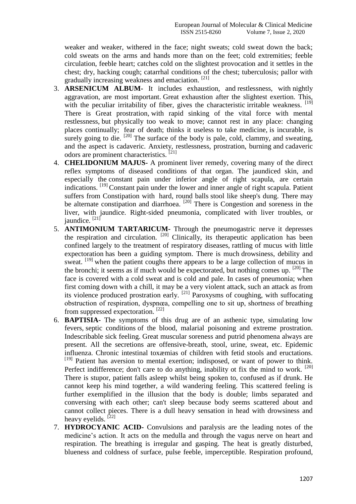weaker and weaker, withered in the face; night sweats; cold sweat down the back; cold sweats on the arms and hands more than on the feet; cold extremities; feeble circulation, feeble heart; catches cold on the slightest provocation and it settles in the chest; dry, hacking cough; catarrhal conditions of the chest; tuberculosis; pallor with gradually increasing weakness and emaciation. <sup>[21]</sup>

- 3. **ARSENICUM ALBUM-** It includes exhaustion, and restlessness, with nightly aggravation, are most important. Great exhaustion after the slightest exertion. This, with the peculiar irritability of fiber, gives the characteristic irritable weakness.  $[19]$ There is Great prostration, with rapid sinking of the vital force with mental restlessness, but physically too weak to move; cannot rest in any place: changing places continually; fear of death; thinks it useless to take medicine, is incurable, is surely going to die.  $[20]$  The surface of the body is pale, cold, clammy, and sweating, and the aspect is cadaveric. Anxiety, restlessness, prostration, burning and cadaveric odors are prominent characteristics. [21]
- 4. **CHELIDONIUM MAJUS-** A prominent liver remedy, covering many of the direct reflex symptoms of diseased conditions of that organ. The jaundiced skin, and especially the constant pain under inferior angle of right scapula, are certain indications. [19] Constant pain under the lower and inner angle of right scapula. Patient suffers from Constipation with hard, round balls stool like sheep's dung. There may be alternate constipation and diarrhoea. [20] There is Congestion and soreness in the liver, with jaundice. Right-sided pneumonia, complicated with liver troubles, or iaundice.  $[21]$
- 5. **ANTIMONIUM TARTARICUM-** Through the pneumogastric nerve it depresses the respiration and circulation.  $[20]$  Clinically, its therapeutic application has been confined largely to the treatment of respiratory diseases, rattling of mucus with little expectoration has been a guiding symptom. There is much drowsiness, debility and sweat. <sup>[19]</sup> when the patient coughs there appears to be a large collection of mucus in the bronchi; it seems as if much would be expectorated, but nothing comes up.  $[20]$  The face is covered with a cold sweat and is cold and pale. In cases of pneumonia; when first coming down with a chill, it may be a very violent attack, such an attack as from its violence produced prostration early.  $[21]$  Paroxysms of coughing, with suffocating obstruction of respiration, dyspnœa, compelling one to sit up, shortness of breathing from suppressed expectoration. [22]
- 6. **BAPTISIA-** The symptoms of this drug are of an asthenic type, simulating low fevers, septic conditions of the blood, malarial poisoning and extreme prostration. Indescribable sick feeling. Great muscular soreness and putrid phenomena always are present. All the secretions are offensive-breath, stool, urine, sweat, etc. Epidemic influenza. Chronic intestinal toxæmias of children with fetid stools and eructations. [19] Patient has aversion to mental exertion; indisposed, or want of power to think. Perfect indifference; don't care to do anything, inability ot fix the mind to work. <sup>[20]</sup> There is stupor, patient falls asleep whilst being spoken to, confused as if drunk. He cannot keep his mind together, a wild wandering feeling. This scattered feeling is further exemplified in the illusion that the body is double; limbs separated and conversing with each other; can't sleep because body seems scattered about and cannot collect pieces. There is a dull heavy sensation in head with drowsiness and heavy eyelids.  $[22]$
- 7. **HYDROCYANIC ACID-** Convulsions and paralysis are the leading notes of the medicine's action. It acts on the medulla and through the vagus nerve on heart and respiration. The breathing is irregular and gasping. The heat is greatly disturbed, blueness and coldness of surface, pulse feeble, imperceptible. Respiration profound,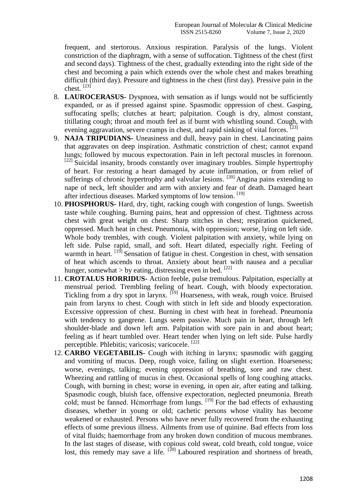frequent, and stertorous. Anxious respiration. Paralysis of the lungs. Violent constriction of the diaphragm, with a sense of suffocation. Tightness of the chest (first and second days). Tightness of the chest, gradually extending into the right side of the chest and becoming a pain which extends over the whole chest and makes breathing difficult (third day). Pressure and tightness in the chest (first day). Pressive pain in the chest.  $[23]$ 

- 8. **LAUROCERASUS-** Dyspnoea, with sensation as if lungs would not be sufficiently expanded, or as if pressed against spine. Spasmodic oppression of chest. Gasping, suffocating spells; clutches at heart; palpitation. Cough is dry, almost constant, titillating cough; throat and mouth feel as if burnt with whistling sound. Cough, with evening aggravation, severe cramps in chest, and rapid sinking of vital forces. <sup>[23]</sup>
- 9. **NAJA TRIPUDIANS-** Uneasiness and dull, heavy pain in chest. Lancinating pains that aggravates on deep inspiration. Asthmatic constriction of chest; cannot expand lungs; followed by mucous expectoration. Pain in left pectoral muscles in forenoon. <sup>[22]</sup> Suicidal insanity, broods constantly over imaginary troubles. Simple hypertrophy of heart. For restoring a heart damaged by acute inflammation, or from relief of sufferings of chronic hypertrophy and valvular lesions.  $[20]$  Angina pains extending to nape of neck, left shoulder and arm with anxiety and fear of death. Damaged heart after infectious diseases. Marked symptoms of low tension.<sup>[19]</sup>
- 10. **PHOSPHORUS-** Hard, dry, tight, racking cough with congestion of lungs. Sweetish taste while coughing. Burning pains, heat and oppression of chest. Tightness across chest with great weight on chest. Sharp stitches in chest; respiration quickened, oppressed. Much heat in chest. Pneumonia, with oppression; worse, lying on left side. Whole body trembles, with cough. Violent palpitation with anxiety, while lying on left side. Pulse rapid, small, and soft. Heart dilated, especially right. Feeling of warmth in heart. <sup>[19]</sup> Sensation of fatigue in chest. Congestion in chest, with sensation of heat which ascends to throat. Anxiety about heart with nausea and a peculiar hunger, somewhat > by eating, distressing even in bed.  $[22]$
- 11. **CROTALUS HORRIDUS-** Action feeble, pulse tremulous. Palpitation, especially at menstrual period. Trembling feeling of heart. Cough, with bloody expectoration. Tickling from a dry spot in larynx. [19] Hoarseness, with weak, rough voice. Bruised pain from larynx to chest. Cough with stitch in left side and bloody expectoration. Excessive oppression of chest. Burning in chest with heat in forehead. Pneumonia with tendency to gangrene. Lungs seem passive. Much pain in heart, through left shoulder-blade and down left arm. Palpitation with sore pain in and about heart; feeling as if heart tumbled over. Heart tender when lying on left side. Pulse hardly perceptible. Phlebitis; varicosis; varicocele. [22]
- 12. **CARBO VEGETABILIS-** Cough with itching in larynx; spasmodic with gagging and vomiting of mucus. Deep, rough voice, failing on slight exertion. Hoarseness; worse, evenings, talking; evening oppression of breathing, sore and raw chest. Wheezing and rattling of mucus in chest. Occasional spells of long coughing attacks. Cough, with burning in chest; worse in evening, in open air, after eating and talking. Spasmodic cough, bluish face, offensive expectoration, neglected pneumonia. Breath cold; must be fanned. Hćmorrhage from lungs.  $[19]$  For the bad effects of exhausting diseases, whether in young or old; cachetic persons whose vitality has become weakened or exhausted. Persons who have never fully recovered from the exhausting effects of some previous illness. Ailments from use of quinine. Bad effects from loss of vital fluids; haemorrhage from any broken down condition of mucous membranes. In the last stages of disease, with copious cold sweat, cold breath, cold tongue, voice lost, this remedy may save a life.  $[20]$  Laboured respiration and shortness of breath,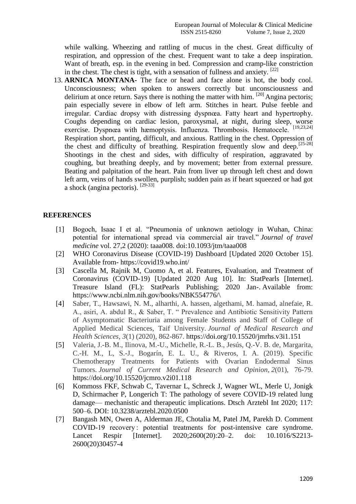while walking. Wheezing and rattling of mucus in the chest. Great difficulty of respiration, and oppression of the chest. Frequent want to take a deep inspiration. Want of breath, esp. in the evening in bed. Compression and cramp-like constriction in the chest. The chest is tight, with a sensation of fullness and anxiety.  $[22]$ 

13. **ARNICA MONTANA-** The face or head and face alone is hot, the body cool. Unconsciousness; when spoken to answers correctly but unconsciousness and delirium at once return. Says there is nothing the matter with him.  $[20]$  Angina pectoris; pain especially severe in elbow of left arm. Stitches in heart. Pulse feeble and irregular. Cardiac dropsy with distressing dyspnœa. Fatty heart and hypertrophy. Coughs depending on cardiac lesion, paroxysmal, at night, during sleep, worse exercise. Dyspnœa with hæmoptysis. Influenza. Thrombosis. Hematocele. [19,23,24] Respiration short, panting, difficult, and anxious. Rattling in the chest. Oppression of the chest and difficulty of breathing. Respiration frequently slow and deep.<sup>[25-28]</sup> Shootings in the chest and sides, with difficulty of respiration, aggravated by coughing, but breathing deeply, and by movement; better from external pressure. Beating and palpitation of the heart. Pain from liver up through left chest and down left arm, veins of hands swollen, purplish; sudden pain as if heart squeezed or had got a shock (angina pectoris).  $[29-33]$ 

# **REFERENCES**

- [1] Bogoch, Isaac I et al. "Pneumonia of unknown aetiology in Wuhan, China: potential for international spread via commercial air travel.‖ *Journal of travel medicine* vol. 27,2 (2020): taaa008. doi:10.1093/jtm/taaa008
- [2] [WHO Coronavirus Disease \(COVID-19\) Dashboard](https://covid19.who.int/) [Updated 2020 October 15]. Available from- <https://covid19.who.int/>
- [3] Cascella M, Rajnik M, Cuomo A, et al. Features, Evaluation, and Treatment of Coronavirus (COVID-19) [Updated 2020 Aug 10]. In: StatPearls [Internet]. Treasure Island (FL): StatPearls Publishing; 2020 Jan-. Available from: [https://www.ncbi.nlm.nih.gov/books/NBK554776/\](https://www.ncbi.nlm.nih.gov/books/NBK554776/)
- [4] Saber, T., Hawsawi, N. M., alharthi, A. hassen, algethami, M. hamad, alnefaie, R. A., asiri, A. abdul R., & Saber, T. " Prevalence and Antibiotic Sensitivity Pattern of Asymptomatic Bacteriuria among Female Students and Staff of College of Applied Medical Sciences, Taif University. *Journal of Medical Research and Health Sciences*, *3*(1) (2020), 862-867. https://doi.org/10.15520/jmrhs.v3i1.151
- [5] Valeria, J.-B. M., Ilinova, M.-U., Michelle, R.-L. B., Jesús, Q.-V. B. de, Margarita, C.-H. M., L, S.-J., Bogarín, E. L. U., & Riveros, I. A. (2019). Specific Chemotherapy Treatments for Patients with Ovarian Endodermal Sinus Tumors. *Journal of Current Medical Research and Opinion*, *2*(01), 76-79. https://doi.org/10.15520/jcmro.v2i01.118
- [6] Kommoss FKF, Schwab C, Tavernar L, Schreck J, Wagner WL, Merle U, Jonigk D, Schirmacher P, Longerich T: The pathology of severe COVID-19 related lung damage— mechanistic and therapeutic implications. Dtsch Arztebl Int 2020; 117: 500–6. DOI: 10.3238/arztebl.2020.0500
- [7] Bangash MN, Owen A, Alderman JE, Chotalia M, Patel JM, Parekh D. Comment COVID-19 recovery : potential treatments for post-intensive care syndrome. Lancet Respir [Internet]. 2020;2600(20):20–2. doi: 10.1016/S2213- 2600(20)30457-4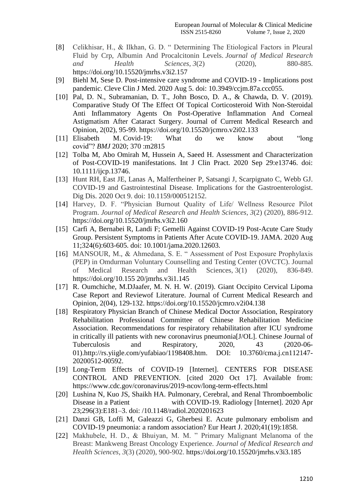- [8] Celikhisar, H., & Ilkhan, G. D. "Determining The Etiological Factors in Pleural Fluid by Crp, Albumin And Procalcitonin Levels. *Journal of Medical Research and Health Sciences*, *3*(2) (2020), 880-885. https://doi.org/10.15520/jmrhs.v3i2.157
- [9] Biehl M, Sese D. Post-intensive care syndrome and COVID-19 Implications post pandemic. Cleve Clin J Med. 2020 Aug 5. doi: 10.3949/ccjm.87a.ccc055.
- [10] Pal, D. N., Subramanian, D. T., John Bosco, D. A., & Chawda, D. V. (2019). Comparative Study Of The Effect Of Topical Corticosteroid With Non-Steroidal Anti Inflammatory Agents On Post-Operative Inflammation And Corneal Astigmatism After Cataract Surgery. Journal of Current Medical Research and Opinion, 2(02), 95-99. https://doi.org/10.15520/jcmro.v2i02.133
- [11] Elisabeth M. Covid-19: What do we know about "long covid‖? *BMJ* 2020; 370 :m2815
- [12] Tolba M, Abo Omirah M, Hussein A, Saeed H. Assessment and Characterization of Post-COVID-19 manifestations. Int J Clin Pract. 2020 Sep 29:e13746. doi: 10.1111/ijcp.13746.
- [13] Hunt RH, East JE, Lanas A, Malfertheiner P, Satsangi J, Scarpignato C, Webb GJ. COVID-19 and Gastrointestinal Disease. Implications for the Gastroenterologist. Dig Dis. 2020 Oct 9. doi: 10.1159/000512152.
- [14] Harvey, D. F. "Physician Burnout Quality of Life/ Wellness Resource Pilot Program. *Journal of Medical Research and Health Sciences*, *3*(2) (2020), 886-912. https://doi.org/10.15520/jmrhs.v3i2.160
- [15] Carfì A, Bernabei R, Landi F; Gemelli Against COVID-19 Post-Acute Care Study Group. Persistent Symptoms in Patients After Acute COVID-19. JAMA. 2020 Aug 11;324(6):603-605. doi: 10.1001/jama.2020.12603.
- [16] MANSOUR, M., & Ahmedana, S. E. "Assessment of Post Exposure Prophylaxis (PEP) in Omdurman Voluntary Counselling and Testing Center (OVCTC). Journal of Medical Research and Health Sciences, 3(1) (2020), 836-849. https://doi.org/10.155 20/jmrhs.v3i1.145
- [17] R. Oumchiche, M.DJaafer, M. N. H. W. (2019). Giant Occipito Cervical Lipoma Case Report and Reviewof Literature. Journal of Current Medical Research and Opinion, 2(04), 129-132. https://doi.org/10.15520/jcmro.v2i04.138
- [18] Respiratory Physician Branch of Chinese Medical Doctor Association, Respiratory Rehabilitation Professional Committee of Chinese Rehabilitation Medicine Association. Recommendations for respiratory rehabilitation after ICU syndrome in critically ill patients with new coronavirus pneumonia[J/OL]. Chinese Journal of Tuberculosis and Respiratory, 2020, 43 (2020-06- 01).http://rs.yiigle.com/yufabiao/1198408.htm. DOI: 10.3760/cma.j.cn112147- 20200512-00592.
- [19] Long-Term Effects of COVID-19 [Internet]. CENTERS FOR DISEASE CONTROL AND PREVENTION. [cited 2020 Oct 17]. Available from: https://www.cdc.gov/coronavirus/2019-ncov/long-term-effects.html
- [20] Lushina N, Kuo JS, Shaikh HA. Pulmonary, Cerebral, and Renal Thromboembolic Disease in a Patient with COVID-19. Radiology [Internet]. 2020 Apr 23;296(3):E181–3. doi: /10.1148/radiol.2020201623
- [21] Danzi GB, Loffi M, Galeazzi G, Gherbesi E. Acute pulmonary embolism and COVID-19 pneumonia: a random association? Eur Heart J. 2020;41(19):1858.
- [22] Makhubele, H. D., & Bhuiyan, M. M. " Primary Malignant Melanoma of the Breast: Mankweng Breast Oncology Experience. *Journal of Medical Research and Health Sciences*, *3*(3) (2020), 900-902. https://doi.org/10.15520/jmrhs.v3i3.185